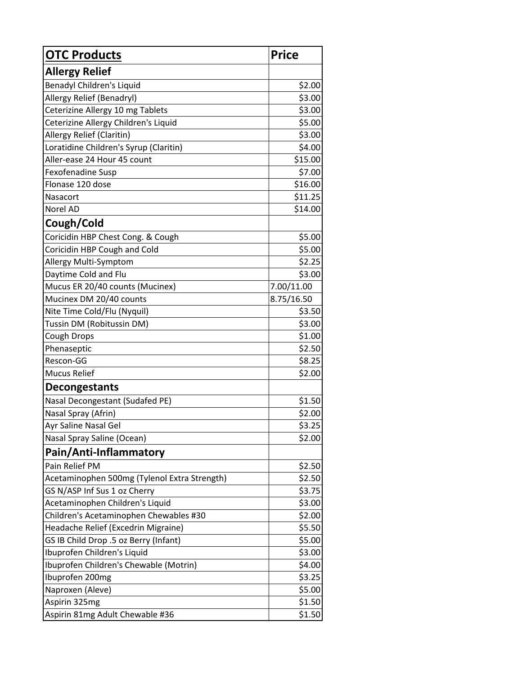| <b>OTC Products</b>                          | <b>Price</b> |
|----------------------------------------------|--------------|
| <b>Allergy Relief</b>                        |              |
| Benadyl Children's Liquid                    | \$2.00       |
| Allergy Relief (Benadryl)                    | \$3.00       |
| Ceterizine Allergy 10 mg Tablets             | \$3.00       |
| Ceterizine Allergy Children's Liquid         | \$5.00       |
| Allergy Relief (Claritin)                    | \$3.00       |
| Loratidine Children's Syrup (Claritin)       | \$4.00       |
| Aller-ease 24 Hour 45 count                  | \$15.00      |
| Fexofenadine Susp                            | \$7.00       |
| Flonase 120 dose                             | \$16.00      |
| Nasacort                                     | \$11.25      |
| Norel AD                                     | \$14.00      |
| Cough/Cold                                   |              |
| Coricidin HBP Chest Cong. & Cough            | \$5.00       |
| Coricidin HBP Cough and Cold                 | \$5.00       |
| Allergy Multi-Symptom                        | \$2.25       |
| Daytime Cold and Flu                         | \$3.00       |
| Mucus ER 20/40 counts (Mucinex)              | 7.00/11.00   |
| Mucinex DM 20/40 counts                      | 8.75/16.50   |
| Nite Time Cold/Flu (Nyquil)                  | \$3.50       |
| Tussin DM (Robitussin DM)                    | \$3.00       |
| Cough Drops                                  | \$1.00       |
| Phenaseptic                                  | \$2.50       |
| Rescon-GG                                    | \$8.25       |
| <b>Mucus Relief</b>                          | \$2.00       |
| <b>Decongestants</b>                         |              |
| Nasal Decongestant (Sudafed PE)              | \$1.50       |
| Nasal Spray (Afrin)                          | \$2.00       |
| Ayr Saline Nasal Gel                         | \$3.25       |
| Nasal Spray Saline (Ocean)                   | \$2.00       |
| Pain/Anti-Inflammatory                       |              |
| Pain Relief PM                               | \$2.50       |
| Acetaminophen 500mg (Tylenol Extra Strength) | \$2.50       |
| GS N/ASP Inf Sus 1 oz Cherry                 | \$3.75       |
| Acetaminophen Children's Liquid              | \$3.00       |
| Children's Acetaminophen Chewables #30       | \$2.00       |
| Headache Relief (Excedrin Migraine)          | \$5.50       |
| GS IB Child Drop .5 oz Berry (Infant)        | \$5.00       |
| Ibuprofen Children's Liquid                  | \$3.00       |
| Ibuprofen Children's Chewable (Motrin)       | \$4.00       |
| Ibuprofen 200mg                              | \$3.25       |
| Naproxen (Aleve)                             | \$5.00       |
| Aspirin 325mg                                | \$1.50       |
| Aspirin 81mg Adult Chewable #36              | \$1.50       |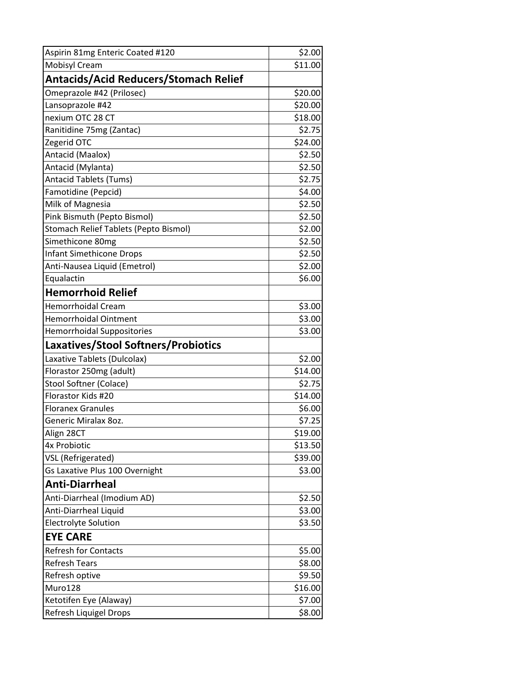| Aspirin 81mg Enteric Coated #120      | \$2.00  |
|---------------------------------------|---------|
| <b>Mobisyl Cream</b>                  | \$11.00 |
| Antacids/Acid Reducers/Stomach Relief |         |
| Omeprazole #42 (Prilosec)             | \$20.00 |
| Lansoprazole #42                      | \$20.00 |
| nexium OTC 28 CT                      | \$18.00 |
| Ranitidine 75mg (Zantac)              | \$2.75  |
| Zegerid OTC                           | \$24.00 |
| Antacid (Maalox)                      | \$2.50  |
| Antacid (Mylanta)                     | \$2.50  |
| <b>Antacid Tablets (Tums)</b>         | \$2.75  |
| Famotidine (Pepcid)                   | \$4.00  |
| Milk of Magnesia                      | \$2.50  |
| Pink Bismuth (Pepto Bismol)           | \$2.50  |
| Stomach Relief Tablets (Pepto Bismol) | \$2.00  |
| Simethicone 80mg                      | \$2.50  |
| <b>Infant Simethicone Drops</b>       | \$2.50  |
| Anti-Nausea Liquid (Emetrol)          | \$2.00  |
| Equalactin                            | \$6.00  |
| <b>Hemorrhoid Relief</b>              |         |
| Hemorrhoidal Cream                    | \$3.00  |
| <b>Hemorrhoidal Ointment</b>          | \$3.00  |
| <b>Hemorrhoidal Suppositories</b>     | \$3.00  |
| Laxatives/Stool Softners/Probiotics   |         |
| Laxative Tablets (Dulcolax)           | \$2.00  |
| Florastor 250mg (adult)               | \$14.00 |
| Stool Softner (Colace)                | \$2.75  |
| Florastor Kids #20                    | \$14.00 |
| <b>Floranex Granules</b>              | \$6.00  |
| Generic Miralax 80z.                  | \$7.25  |
| Align 28CT                            | \$19.00 |
| 4x Probiotic                          | \$13.50 |
| VSL (Refrigerated)                    | \$39.00 |
| Gs Laxative Plus 100 Overnight        | \$3.00  |
| <b>Anti-Diarrheal</b>                 |         |
| Anti-Diarrheal (Imodium AD)           | \$2.50  |
| Anti-Diarrheal Liquid                 | \$3.00  |
| <b>Electrolyte Solution</b>           | \$3.50  |
| <b>EYE CARE</b>                       |         |
| <b>Refresh for Contacts</b>           | \$5.00  |
| <b>Refresh Tears</b>                  | \$8.00  |
| Refresh optive                        | \$9.50  |
| Muro128                               | \$16.00 |
| Ketotifen Eye (Alaway)                | \$7.00  |
| Refresh Liquigel Drops                | \$8.00  |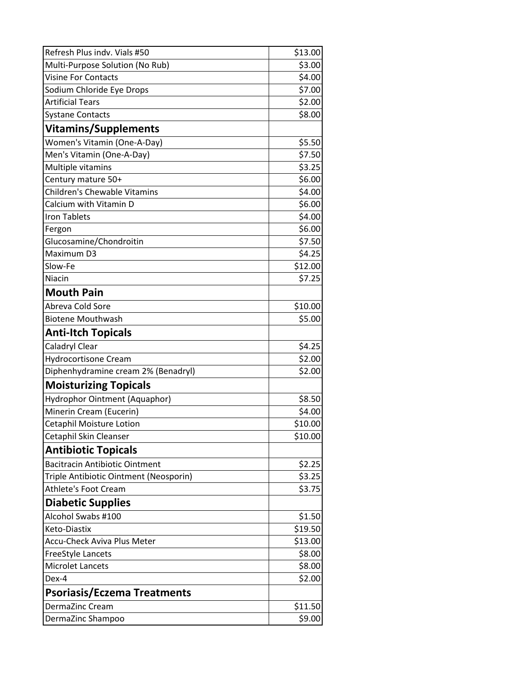| Refresh Plus indv. Vials #50           | \$13.00 |
|----------------------------------------|---------|
| Multi-Purpose Solution (No Rub)        | \$3.00  |
| <b>Visine For Contacts</b>             | \$4.00  |
| Sodium Chloride Eye Drops              | \$7.00  |
| <b>Artificial Tears</b>                | \$2.00  |
| <b>Systane Contacts</b>                | \$8.00  |
| <b>Vitamins/Supplements</b>            |         |
| Women's Vitamin (One-A-Day)            | \$5.50  |
| Men's Vitamin (One-A-Day)              | \$7.50  |
| Multiple vitamins                      | \$3.25  |
| Century mature 50+                     | \$6.00  |
| <b>Children's Chewable Vitamins</b>    | \$4.00  |
| Calcium with Vitamin D                 | \$6.00  |
| <b>Iron Tablets</b>                    | \$4.00  |
| Fergon                                 | \$6.00  |
| Glucosamine/Chondroitin                | \$7.50  |
| Maximum D3                             | \$4.25  |
| Slow-Fe                                | \$12.00 |
| Niacin                                 | \$7.25  |
| <b>Mouth Pain</b>                      |         |
| Abreva Cold Sore                       | \$10.00 |
| <b>Biotene Mouthwash</b>               | \$5.00  |
| <b>Anti-Itch Topicals</b>              |         |
| Caladryl Clear                         | \$4.25  |
| <b>Hydrocortisone Cream</b>            | \$2.00  |
| Diphenhydramine cream 2% (Benadryl)    | \$2.00  |
| <b>Moisturizing Topicals</b>           |         |
| Hydrophor Ointment (Aquaphor)          | \$8.50  |
| Minerin Cream (Eucerin)                | \$4.00  |
| Cetaphil Moisture Lotion               | \$10.00 |
| Cetaphil Skin Cleanser                 | \$10.00 |
| <b>Antibiotic Topicals</b>             |         |
| <b>Bacitracin Antibiotic Ointment</b>  | \$2.25  |
| Triple Antibiotic Ointment (Neosporin) | \$3.25  |
| <b>Athlete's Foot Cream</b>            | \$3.75  |
| <b>Diabetic Supplies</b>               |         |
| Alcohol Swabs #100                     | \$1.50  |
| Keto-Diastix                           | \$19.50 |
| <b>Accu-Check Aviva Plus Meter</b>     | \$13.00 |
| FreeStyle Lancets                      | \$8.00  |
| <b>Microlet Lancets</b>                | \$8.00  |
| Dex-4                                  | \$2.00  |
| <b>Psoriasis/Eczema Treatments</b>     |         |
| DermaZinc Cream                        | \$11.50 |
| DermaZinc Shampoo                      | \$9.00  |